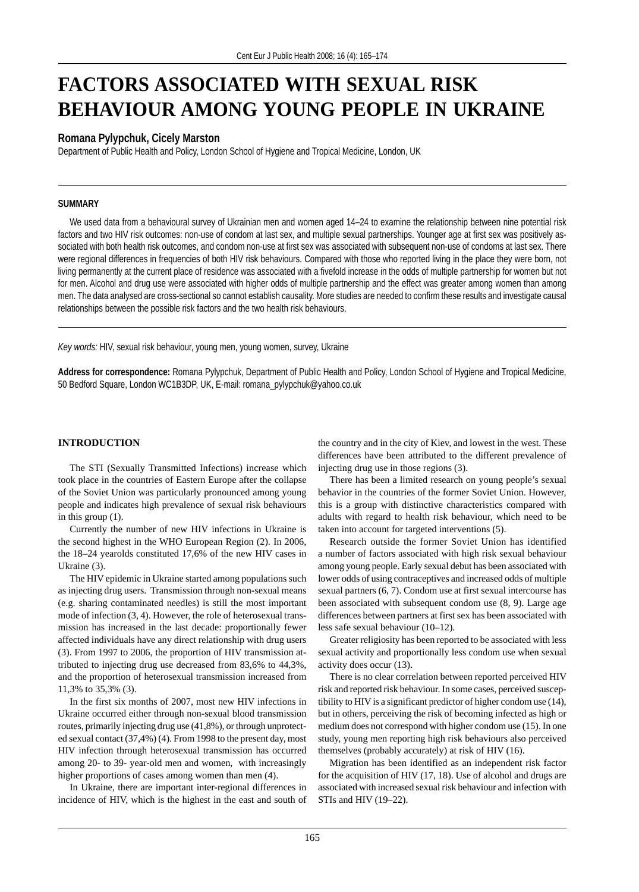# **FACTORS ASSOCIATED WITH SEXUAL RISK BEHAVIOUR AMONG YOUNG PEOPLE IN UKRAINE**

# **Romana Pylypchuk, Cicely Marston**

Department of Public Health and Policy, London School of Hygiene and Tropical Medicine, London, UK

# **SUMMARY**

We used data from a behavioural survey of Ukrainian men and women aged 14–24 to examine the relationship between nine potential risk factors and two HIV risk outcomes: non-use of condom at last sex, and multiple sexual partnerships. Younger age at first sex was positively associated with both health risk outcomes, and condom non-use at first sex was associated with subsequent non-use of condoms at last sex. There were regional differences in frequencies of both HIV risk behaviours. Compared with those who reported living in the place they were born, not living permanently at the current place of residence was associated with a fivefold increase in the odds of multiple partnership for women but not for men. Alcohol and drug use were associated with higher odds of multiple partnership and the effect was greater among women than among men. The data analysed are cross-sectional so cannot establish causality. More studies are needed to confirm these results and investigate causal relationships between the possible risk factors and the two health risk behaviours.

*Key words:* HIV, sexual risk behaviour, young men, young women, survey, Ukraine

**Address for correspondence:** Romana Pylypchuk, Department of Public Health and Policy, London School of Hygiene and Tropical Medicine, 50 Bedford Square, London WC1B3DP, UK, E-mail: romana\_pylypchuk@yahoo.co.uk

# **INTRODUCTION**

The STI (Sexually Transmitted Infections) increase which took place in the countries of Eastern Europe after the collapse of the Soviet Union was particularly pronounced among young people and indicates high prevalence of sexual risk behaviours in this group (1).

Currently the number of new HIV infections in Ukraine is the second highest in the WHO European Region (2). In 2006, the 18–24 yearolds constituted 17,6% of the new HIV cases in Ukraine (3).

The HIV epidemic in Ukraine started among populations such as injecting drug users. Transmission through non-sexual means (e.g. sharing contaminated needles) is still the most important mode of infection (3, 4). However, the role of heterosexual transmission has increased in the last decade: proportionally fewer affected individuals have any direct relationship with drug users (3). From 1997 to 2006, the proportion of HIV transmission attributed to injecting drug use decreased from 83,6% to 44,3%, and the proportion of heterosexual transmission increased from 11,3% to 35,3% (3).

In the first six months of 2007, most new HIV infections in Ukraine occurred either through non-sexual blood transmission routes, primarily injecting drug use (41,8%), or through unprotected sexual contact (37,4%) (4). From 1998 to the present day, most HIV infection through heterosexual transmission has occurred among 20- to 39- year-old men and women, with increasingly higher proportions of cases among women than men (4).

In Ukraine, there are important inter-regional differences in incidence of HIV, which is the highest in the east and south of the country and in the city of Kiev, and lowest in the west. These differences have been attributed to the different prevalence of injecting drug use in those regions (3).

There has been a limited research on young people's sexual behavior in the countries of the former Soviet Union. However, this is a group with distinctive characteristics compared with adults with regard to health risk behaviour, which need to be taken into account for targeted interventions (5).

Research outside the former Soviet Union has identified a number of factors associated with high risk sexual behaviour among young people. Early sexual debut has been associated with lower odds of using contraceptives and increased odds of multiple sexual partners (6, 7). Condom use at first sexual intercourse has been associated with subsequent condom use (8, 9). Large age differences between partners at first sex has been associated with less safe sexual behaviour (10–12).

Greater religiosity has been reported to be associated with less sexual activity and proportionally less condom use when sexual activity does occur (13).

There is no clear correlation between reported perceived HIV risk and reported risk behaviour. In some cases, perceived susceptibility to HIV is a significant predictor of higher condom use (14), but in others, perceiving the risk of becoming infected as high or medium does not correspond with higher condom use (15). In one study, young men reporting high risk behaviours also perceived themselves (probably accurately) at risk of HIV (16).

Migration has been identified as an independent risk factor for the acquisition of HIV (17, 18). Use of alcohol and drugs are associated with increased sexual risk behaviour and infection with STIs and HIV (19–22).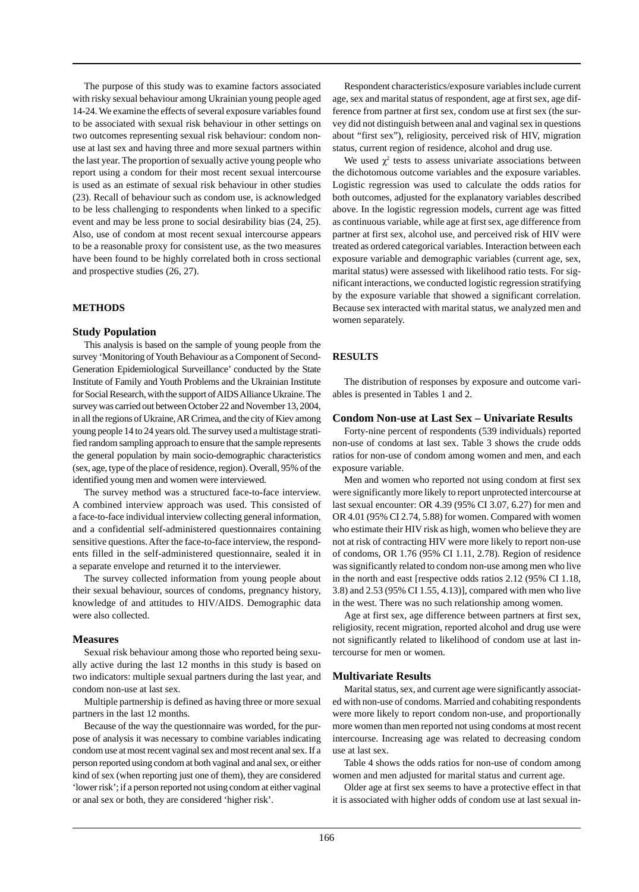The purpose of this study was to examine factors associated with risky sexual behaviour among Ukrainian young people aged 14-24. We examine the effects of several exposure variables found to be associated with sexual risk behaviour in other settings on two outcomes representing sexual risk behaviour: condom nonuse at last sex and having three and more sexual partners within the last year. The proportion of sexually active young people who report using a condom for their most recent sexual intercourse is used as an estimate of sexual risk behaviour in other studies (23). Recall of behaviour such as condom use, is acknowledged to be less challenging to respondents when linked to a specific event and may be less prone to social desirability bias (24, 25). Also, use of condom at most recent sexual intercourse appears to be a reasonable proxy for consistent use, as the two measures have been found to be highly correlated both in cross sectional and prospective studies (26, 27).

# **METHODS**

#### **Study Population**

This analysis is based on the sample of young people from the survey 'Monitoring of Youth Behaviour as a Component of Second-Generation Epidemiological Surveillance' conducted by the State Institute of Family and Youth Problems and the Ukrainian Institute for Social Research, with the support of AIDS Alliance Ukraine. The survey was carried out between October 22 and November 13, 2004, in all the regions of Ukraine, AR Crimea, and the city of Kiev among young people 14 to 24 years old. The survey used a multistage stratified random sampling approach to ensure that the sample represents the general population by main socio-demographic characteristics (sex, age, type of the place of residence, region). Overall, 95% of the identified young men and women were interviewed.

The survey method was a structured face-to-face interview. A combined interview approach was used. This consisted of a face-to-face individual interview collecting general information, and a confidential self-administered questionnaires containing sensitive questions. After the face-to-face interview, the respondents filled in the self-administered questionnaire, sealed it in a separate envelope and returned it to the interviewer.

The survey collected information from young people about their sexual behaviour, sources of condoms, pregnancy history, knowledge of and attitudes to HIV/AIDS. Demographic data were also collected.

#### **Measures**

Sexual risk behaviour among those who reported being sexually active during the last 12 months in this study is based on two indicators: multiple sexual partners during the last year, and condom non-use at last sex.

Multiple partnership is defined as having three or more sexual partners in the last 12 months.

Because of the way the questionnaire was worded, for the purpose of analysis it was necessary to combine variables indicating condom use at most recent vaginal sex and most recent anal sex. If a person reported using condom at both vaginal and anal sex, or either kind of sex (when reporting just one of them), they are considered 'lower risk'; if a person reported not using condom at either vaginal or anal sex or both, they are considered 'higher risk'.

Respondent characteristics/exposure variables include current age, sex and marital status of respondent, age at first sex, age difference from partner at first sex, condom use at first sex (the survey did not distinguish between anal and vaginal sex in questions about "first sex"), religiosity, perceived risk of HIV, migration status, current region of residence, alcohol and drug use.

We used  $\chi^2$  tests to assess univariate associations between the dichotomous outcome variables and the exposure variables. Logistic regression was used to calculate the odds ratios for both outcomes, adjusted for the explanatory variables described above. In the logistic regression models, current age was fitted as continuous variable, while age at first sex, age difference from partner at first sex, alcohol use, and perceived risk of HIV were treated as ordered categorical variables. Interaction between each exposure variable and demographic variables (current age, sex, marital status) were assessed with likelihood ratio tests. For significant interactions, we conducted logistic regression stratifying by the exposure variable that showed a significant correlation. Because sex interacted with marital status, we analyzed men and women separately.

#### **RESULTS**

The distribution of responses by exposure and outcome variables is presented in Tables 1 and 2.

#### **Condom Non-use at Last Sex – Univariate Results**

Forty-nine percent of respondents (539 individuals) reported non-use of condoms at last sex. Table 3 shows the crude odds ratios for non-use of condom among women and men, and each exposure variable.

Men and women who reported not using condom at first sex were significantly more likely to report unprotected intercourse at last sexual encounter: OR 4.39 (95% CI 3.07, 6.27) for men and OR 4.01 (95% CI 2.74, 5.88) for women. Compared with women who estimate their HIV risk as high, women who believe they are not at risk of contracting HIV were more likely to report non-use of condoms, OR 1.76 (95% CI 1.11, 2.78). Region of residence was significantly related to condom non-use among men who live in the north and east [respective odds ratios 2.12 (95% CI 1.18, 3.8) and 2.53 (95% CI 1.55, 4.13)], compared with men who live in the west. There was no such relationship among women.

Age at first sex, age difference between partners at first sex, religiosity, recent migration, reported alcohol and drug use were not significantly related to likelihood of condom use at last intercourse for men or women.

#### **Multivariate Results**

Marital status, sex, and current age were significantly associated with non-use of condoms. Married and cohabiting respondents were more likely to report condom non-use, and proportionally more women than men reported not using condoms at most recent intercourse. Increasing age was related to decreasing condom use at last sex.

Table 4 shows the odds ratios for non-use of condom among women and men adjusted for marital status and current age.

Older age at first sex seems to have a protective effect in that it is associated with higher odds of condom use at last sexual in-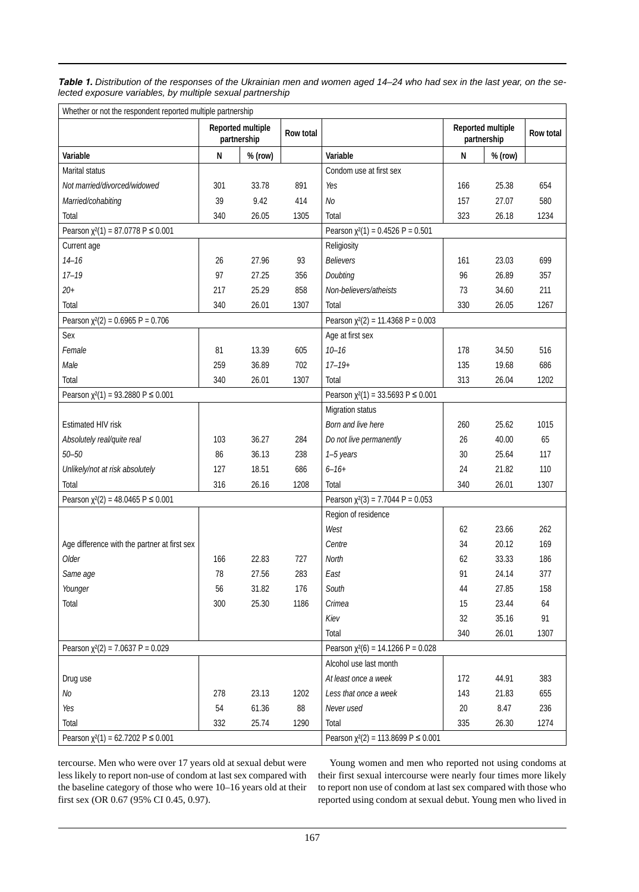*Table 1. Distribution of the responses of the Ukrainian men and women aged 14–24 who had sex in the last year, on the selected exposure variables, by multiple sexual partnership*

| Whether or not the respondent reported multiple partnership |                                  |         |           |                                               |           |                                  |      |  |  |
|-------------------------------------------------------------|----------------------------------|---------|-----------|-----------------------------------------------|-----------|----------------------------------|------|--|--|
|                                                             | Reported multiple<br>partnership |         | Row total |                                               |           | Reported multiple<br>partnership |      |  |  |
| Variable                                                    | ${\sf N}$                        | % (row) |           | Variable                                      | ${\sf N}$ | $%$ (row)                        |      |  |  |
| Marital status                                              |                                  |         |           | Condom use at first sex                       |           |                                  |      |  |  |
| Not married/divorced/widowed                                | 301                              | 33.78   | 891       | Yes                                           | 166       | 25.38                            | 654  |  |  |
| Married/cohabiting                                          | 39                               | 9.42    | 414       | No                                            | 157       | 27.07                            | 580  |  |  |
| Total                                                       | 340                              | 26.05   | 1305      | Total                                         | 323       | 26.18                            | 1234 |  |  |
| Pearson $\chi^2(1) = 87.0778$ P $\leq 0.001$                |                                  |         |           | Pearson $\chi^2(1) = 0.4526$ P = 0.501        |           |                                  |      |  |  |
| Current age                                                 |                                  |         |           | Religiosity                                   |           |                                  |      |  |  |
| $14 - 16$                                                   | 26                               | 27.96   | 93        | <b>Believers</b>                              | 161       | 23.03                            | 699  |  |  |
| $17 - 19$                                                   | 97                               | 27.25   | 356       | Doubting                                      | 96        | 26.89                            | 357  |  |  |
| $20+$                                                       | 217                              | 25.29   | 858       | Non-believers/atheists                        | 73        | 34.60                            | 211  |  |  |
| Total                                                       | 340                              | 26.01   | 1307      | Total                                         | 330       | 26.05                            | 1267 |  |  |
| Pearson $\chi^2(2) = 0.6965 P = 0.706$                      |                                  |         |           | Pearson $\chi^2(2) = 11.4368$ P = 0.003       |           |                                  |      |  |  |
| Sex                                                         |                                  |         |           | Age at first sex                              |           |                                  |      |  |  |
| Female                                                      | 81                               | 13.39   | 605       | $10 - 16$                                     | 178       | 34.50                            | 516  |  |  |
| Male                                                        | 259                              | 36.89   | 702       | $17 - 19 +$                                   | 135       | 19.68                            | 686  |  |  |
| Total                                                       | 340                              | 26.01   | 1307      | Total                                         | 313       | 26.04                            | 1202 |  |  |
| Pearson $\chi^2(1) = 93.2880 \text{ P} \le 0.001$           |                                  |         |           | Pearson $\chi^2(1) = 33.5693$ P $\leq 0.001$  |           |                                  |      |  |  |
|                                                             |                                  |         |           | Migration status                              |           |                                  |      |  |  |
| Estimated HIV risk                                          |                                  |         |           | Born and live here                            | 260       | 25.62                            | 1015 |  |  |
| Absolutely real/quite real                                  | 103                              | 36.27   | 284       | Do not live permanently                       | 26        | 40.00                            | 65   |  |  |
| $50 - 50$                                                   | 86                               | 36.13   | 238       | 1-5 years                                     | 30        | 25.64                            | 117  |  |  |
| Unlikely/not at risk absolutely                             | 127                              | 18.51   | 686       | $6 - 16 +$                                    | 24        | 21.82                            | 110  |  |  |
| Total                                                       | 316                              | 26.16   | 1208      | Total                                         | 340       | 26.01                            | 1307 |  |  |
| Pearson $\chi^2(2) = 48.0465$ P $\leq$ 0.001                |                                  |         |           | Pearson $\chi^2(3) = 7.7044$ P = 0.053        |           |                                  |      |  |  |
|                                                             |                                  |         |           | Region of residence                           |           |                                  |      |  |  |
|                                                             |                                  |         |           | West                                          | 62        | 23.66                            | 262  |  |  |
| Age difference with the partner at first sex                |                                  |         |           | Centre                                        | 34        | 20.12                            | 169  |  |  |
| Older                                                       | 166                              | 22.83   | 727       | North                                         | 62        | 33.33                            | 186  |  |  |
| Same age                                                    | 78                               | 27.56   | 283       | East                                          | 91        | 24.14                            | 377  |  |  |
| Younger                                                     | 56                               | 31.82   | 176       | South                                         | 44        | 27.85                            | 158  |  |  |
| Total                                                       | 300                              | 25.30   | 1186      | Crimea                                        | 15        | 23.44                            | 64   |  |  |
|                                                             |                                  |         |           | Kiev                                          | 32        | 35.16                            | 91   |  |  |
|                                                             |                                  |         |           | Total                                         | 340       | 26.01                            | 1307 |  |  |
| Pearson $\chi^2(2) = 7.0637 P = 0.029$                      |                                  |         |           | Pearson $\chi^2(6) = 14.1266$ P = 0.028       |           |                                  |      |  |  |
|                                                             |                                  |         |           | Alcohol use last month                        |           |                                  |      |  |  |
| Drug use                                                    |                                  |         |           | At least once a week                          | 172       | 44.91                            | 383  |  |  |
| No                                                          | 278                              | 23.13   | 1202      | Less that once a week                         | 143       | 21.83                            | 655  |  |  |
| Yes                                                         | 54                               | 61.36   | 88        | Never used                                    | 20        | 8.47                             | 236  |  |  |
| Total                                                       | 332                              | 25.74   | 1290      | Total                                         | 335       | 26.30                            | 1274 |  |  |
| Pearson $\chi^2(1) = 62.7202$ P $\leq$ 0.001                |                                  |         |           | Pearson $\chi^2(2) = 113.8699$ P $\leq 0.001$ |           |                                  |      |  |  |

tercourse. Men who were over 17 years old at sexual debut were less likely to report non-use of condom at last sex compared with the baseline category of those who were 10–16 years old at their first sex (OR 0.67 (95% CI 0.45, 0.97).

Young women and men who reported not using condoms at their first sexual intercourse were nearly four times more likely to report non use of condom at last sex compared with those who reported using condom at sexual debut. Young men who lived in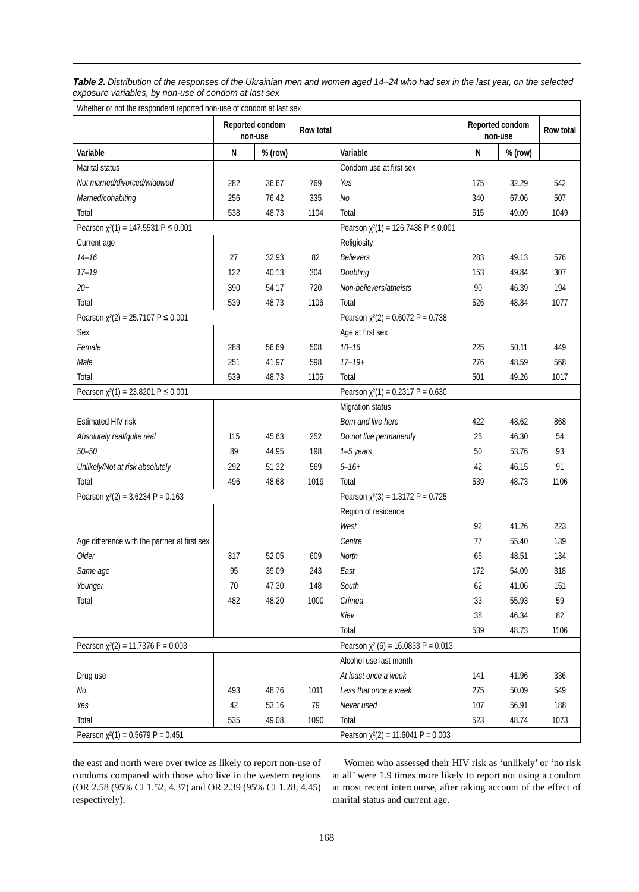| Table 2. Distribution of the responses of the Ukrainian men and women aged 14–24 who had sex in the last year, on the selected |  |
|--------------------------------------------------------------------------------------------------------------------------------|--|
| exposure variables, by non-use of condom at last sex                                                                           |  |

| Whether or not the respondent reported non-use of condom at last sex |           |                            |                                         |                                                    |     |           |      |  |  |
|----------------------------------------------------------------------|-----------|----------------------------|-----------------------------------------|----------------------------------------------------|-----|-----------|------|--|--|
|                                                                      |           | Reported condom<br>non-use | Reported condom<br>Row total<br>non-use |                                                    |     | Row total |      |  |  |
| Variable                                                             | ${\sf N}$ | % (row)                    |                                         | Variable                                           | N   | % (row)   |      |  |  |
| Marital status                                                       |           |                            |                                         | Condom use at first sex                            |     |           |      |  |  |
| Not married/divorced/widowed                                         | 282       | 36.67                      | 769                                     | Yes                                                | 175 | 32.29     | 542  |  |  |
| Married/cohabiting                                                   | 256       | 76.42                      | 335                                     | No                                                 | 340 | 67.06     | 507  |  |  |
| Total                                                                | 538       | 48.73                      | 1104                                    | Total                                              | 515 | 49.09     | 1049 |  |  |
| Pearson $\chi^2(1) = 147.5531$ P $\leq$ 0.001                        |           |                            |                                         | Pearson $\chi^2(1) = 126.7438 \text{ P} \le 0.001$ |     |           |      |  |  |
| Current age                                                          |           |                            |                                         | Religiosity                                        |     |           |      |  |  |
| $14 - 16$                                                            | 27        | 32.93                      | 82                                      | <b>Believers</b>                                   | 283 | 49.13     | 576  |  |  |
| $17 - 19$                                                            | 122       | 40.13                      | 304                                     | Doubting                                           | 153 | 49.84     | 307  |  |  |
| $20 +$                                                               | 390       | 54.17                      | 720                                     | Non-believers/atheists                             | 90  | 46.39     | 194  |  |  |
| Total                                                                | 539       | 48.73                      | 1106                                    | Total                                              | 526 | 48.84     | 1077 |  |  |
| Pearson $\chi^2(2) = 25.7107$ P $\leq$ 0.001                         |           |                            |                                         | Pearson $\chi^2(2) = 0.6072$ P = 0.738             |     |           |      |  |  |
| Sex                                                                  |           |                            |                                         | Age at first sex                                   |     |           |      |  |  |
| Female                                                               | 288       | 56.69                      | 508                                     | $10 - 16$                                          | 225 | 50.11     | 449  |  |  |
| Male                                                                 | 251       | 41.97                      | 598                                     | $17 - 19 +$                                        | 276 | 48.59     | 568  |  |  |
| Total                                                                | 539       | 48.73                      | 1106                                    | Total                                              | 501 | 49.26     | 1017 |  |  |
| Pearson $\chi^2(1) = 23.8201$ P $\leq$ 0.001                         |           |                            |                                         | Pearson $\chi^2(1) = 0.2317$ P = 0.630             |     |           |      |  |  |
|                                                                      |           |                            |                                         | Migration status                                   |     |           |      |  |  |
| Estimated HIV risk                                                   |           |                            |                                         | Born and live here                                 | 422 | 48.62     | 868  |  |  |
| Absolutely real/quite real                                           | 115       | 45.63                      | 252                                     | Do not live permanently                            | 25  | 46.30     | 54   |  |  |
| $50 - 50$                                                            | 89        | 44.95                      | 198                                     | 1-5 years                                          | 50  | 53.76     | 93   |  |  |
| Unlikely/Not at risk absolutely                                      | 292       | 51.32                      | 569                                     | $6 - 16 +$                                         | 42  | 46.15     | 91   |  |  |
| Total                                                                | 496       | 48.68                      | 1019                                    | Total                                              | 539 | 48.73     | 1106 |  |  |
| Pearson $\chi^2(2) = 3.6234$ P = 0.163                               |           |                            |                                         | Pearson $\chi^2(3) = 1.3172$ P = 0.725             |     |           |      |  |  |
|                                                                      |           |                            |                                         | Region of residence                                |     |           |      |  |  |
|                                                                      |           |                            |                                         | West                                               | 92  | 41.26     | 223  |  |  |
| Age difference with the partner at first sex                         |           |                            |                                         | Centre                                             | 77  | 55.40     | 139  |  |  |
| Older                                                                | 317       | 52.05                      | 609                                     | <b>North</b>                                       | 65  | 48.51     | 134  |  |  |
| Same age                                                             | 95        | 39.09                      | 243                                     | East                                               | 172 | 54.09     | 318  |  |  |
| Younger                                                              | 70        | 47.30                      | 148                                     | South                                              | 62  | 41.06     | 151  |  |  |
| Total                                                                | 482       | 48.20                      | 1000                                    | Crimea                                             | 33  | 55.93     | 59   |  |  |
|                                                                      |           |                            |                                         | Kiev                                               | 38  | 46.34     | 82   |  |  |
|                                                                      |           |                            |                                         | Total                                              | 539 | 48.73     | 1106 |  |  |
| Pearson $\chi^2(2) = 11.7376$ P = 0.003                              |           |                            |                                         | Pearson $\chi^2$ (6) = 16.0833 P = 0.013           |     |           |      |  |  |
|                                                                      |           |                            |                                         | Alcohol use last month                             |     |           |      |  |  |
| Drug use                                                             |           |                            |                                         | At least once a week                               | 141 | 41.96     | 336  |  |  |
| No                                                                   | 493       | 48.76                      | 1011                                    | Less that once a week                              | 275 | 50.09     | 549  |  |  |
| Yes                                                                  | 42        | 53.16                      | 79                                      | Never used                                         | 107 | 56.91     | 188  |  |  |
| Total                                                                | 535       | 49.08                      | 1090                                    | Total                                              | 523 | 48.74     | 1073 |  |  |
| Pearson $\chi^2(1) = 0.5679$ P = 0.451                               |           |                            |                                         | Pearson $\chi^2(2) = 11.6041$ P = 0.003            |     |           |      |  |  |

the east and north were over twice as likely to report non-use of condoms compared with those who live in the western regions (OR 2.58 (95% CI 1.52, 4.37) and OR 2.39 (95% CI 1.28, 4.45) respectively).

Women who assessed their HIV risk as 'unlikely' or 'no risk at all' were 1.9 times more likely to report not using a condom at most recent intercourse, after taking account of the effect of marital status and current age.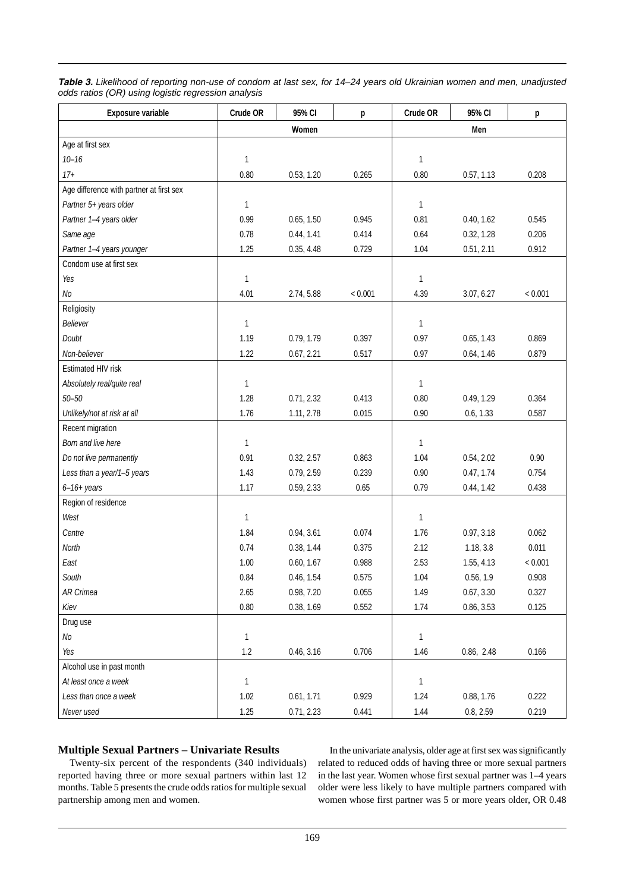| Table 3. Likelihood of reporting non-use of condom at last sex, for 14–24 years old Ukrainian women and men, unadjusted |  |
|-------------------------------------------------------------------------------------------------------------------------|--|
| odds ratios (OR) using logistic regression analysis                                                                     |  |

| Exposure variable                        | Crude OR     | 95% CI     | p       | Crude OR     | 95% CI     | p       |
|------------------------------------------|--------------|------------|---------|--------------|------------|---------|
|                                          |              | Women      |         | Men          |            |         |
| Age at first sex                         |              |            |         |              |            |         |
| $10 - 16$                                | $\mathbf{1}$ |            |         | $\mathbf{1}$ |            |         |
| $17 +$                                   | 0.80         | 0.53, 1.20 | 0.265   | 0.80         | 0.57, 1.13 | 0.208   |
| Age difference with partner at first sex |              |            |         |              |            |         |
| Partner 5+ years older                   | $\mathbf{1}$ |            |         | $\mathbf{1}$ |            |         |
| Partner 1-4 years older                  | 0.99         | 0.65, 1.50 | 0.945   | 0.81         | 0.40, 1.62 | 0.545   |
| Same age                                 | 0.78         | 0.44, 1.41 | 0.414   | 0.64         | 0.32, 1.28 | 0.206   |
| Partner 1-4 years younger                | 1.25         | 0.35, 4.48 | 0.729   | 1.04         | 0.51, 2.11 | 0.912   |
| Condom use at first sex                  |              |            |         |              |            |         |
| Yes                                      | $\mathbf{1}$ |            |         | $\mathbf{1}$ |            |         |
| N <sub>O</sub>                           | 4.01         | 2.74, 5.88 | < 0.001 | 4.39         | 3.07, 6.27 | < 0.001 |
| Religiosity                              |              |            |         |              |            |         |
| Believer                                 | $\mathbf{1}$ |            |         | $\mathbf{1}$ |            |         |
| Doubt                                    | 1.19         | 0.79, 1.79 | 0.397   | 0.97         | 0.65, 1.43 | 0.869   |
| Non-believer                             | 1.22         | 0.67, 2.21 | 0.517   | 0.97         | 0.64, 1.46 | 0.879   |
| Estimated HIV risk                       |              |            |         |              |            |         |
| Absolutely real/quite real               | $\mathbf{1}$ |            |         | 1            |            |         |
| $50 - 50$                                | 1.28         | 0.71, 2.32 | 0.413   | 0.80         | 0.49, 1.29 | 0.364   |
| Unlikely/not at risk at all              | 1.76         | 1.11, 2.78 | 0.015   | 0.90         | 0.6, 1.33  | 0.587   |
| Recent migration                         |              |            |         |              |            |         |
| Born and live here                       | $\mathbf{1}$ |            |         | 1            |            |         |
| Do not live permanently                  | 0.91         | 0.32, 2.57 | 0.863   | 1.04         | 0.54, 2.02 | 0.90    |
| Less than a year/1-5 years               | 1.43         | 0.79, 2.59 | 0.239   | 0.90         | 0.47, 1.74 | 0.754   |
| $6-16+ years$                            | 1.17         | 0.59, 2.33 | 0.65    | 0.79         | 0.44, 1.42 | 0.438   |
| Region of residence                      |              |            |         |              |            |         |
| West                                     | $\mathbf{1}$ |            |         | $\mathbf{1}$ |            |         |
| Centre                                   | 1.84         | 0.94, 3.61 | 0.074   | 1.76         | 0.97, 3.18 | 0.062   |
| North                                    | 0.74         | 0.38, 1.44 | 0.375   | 2.12         | 1.18, 3.8  | 0.011   |
| East                                     | 1.00         | 0.60, 1.67 | 0.988   | 2.53         | 1.55, 4.13 | < 0.001 |
| South                                    | 0.84         | 0.46, 1.54 | 0.575   | 1.04         | 0.56, 1.9  | 0.908   |
| AR Crimea                                | 2.65         | 0.98, 7.20 | 0.055   | 1.49         | 0.67, 3.30 | 0.327   |
| Kiev                                     | 0.80         | 0.38, 1.69 | 0.552   | 1.74         | 0.86, 3.53 | 0.125   |
| Drug use                                 |              |            |         |              |            |         |
| No                                       | 1            |            |         | $\mathbf{1}$ |            |         |
| Yes                                      | $1.2\,$      | 0.46, 3.16 | 0.706   | 1.46         | 0.86, 2.48 | 0.166   |
| Alcohol use in past month                |              |            |         |              |            |         |
| At least once a week                     | $\mathbf{1}$ |            |         | $\mathbf{1}$ |            |         |
| Less than once a week                    | 1.02         | 0.61, 1.71 | 0.929   | 1.24         | 0.88, 1.76 | 0.222   |
| Never used                               | 1.25         | 0.71, 2.23 | 0.441   | 1.44         | 0.8, 2.59  | 0.219   |

# **Multiple Sexual Partners – Univariate Results**

Twenty-six percent of the respondents (340 individuals) reported having three or more sexual partners within last 12 months. Table 5 presents the crude odds ratios for multiple sexual partnership among men and women.

In the univariate analysis, older age at first sex was significantly related to reduced odds of having three or more sexual partners in the last year. Women whose first sexual partner was 1–4 years older were less likely to have multiple partners compared with women whose first partner was 5 or more years older, OR 0.48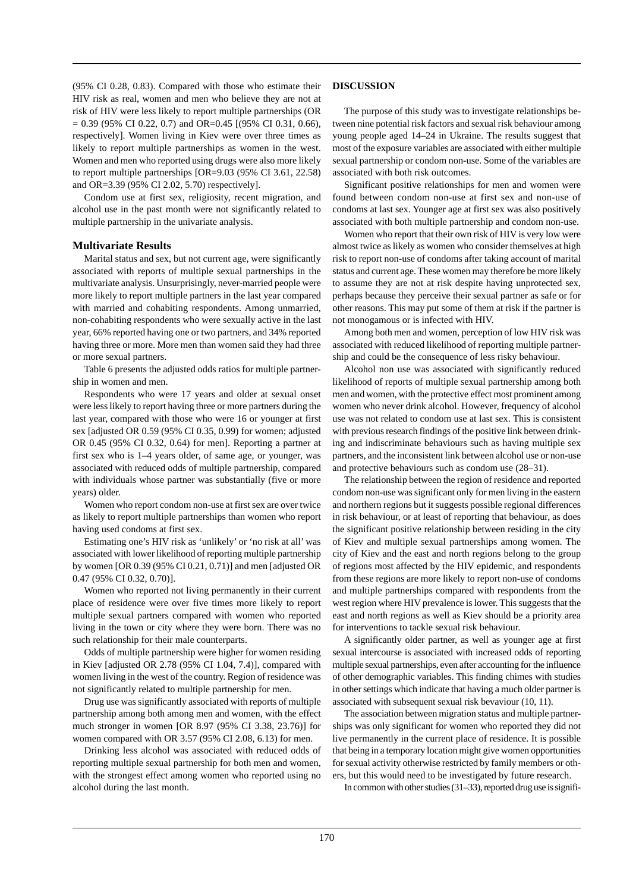(95% CI 0.28, 0.83). Compared with those who estimate their HIV risk as real, women and men who believe they are not at risk of HIV were less likely to report multiple partnerships (OR  $= 0.39$  (95% CI 0.22, 0.7) and OR=0.45 [(95% CI 0.31, 0.66), respectively]. Women living in Kiev were over three times as likely to report multiple partnerships as women in the west. Women and men who reported using drugs were also more likely to report multiple partnerships [OR=9.03 (95% CI 3.61, 22.58) and OR=3.39 (95% CI 2.02, 5.70) respectively].

Condom use at first sex, religiosity, recent migration, and alcohol use in the past month were not significantly related to multiple partnership in the univariate analysis.

### **Multivariate Results**

Marital status and sex, but not current age, were significantly associated with reports of multiple sexual partnerships in the multivariate analysis. Unsurprisingly, never-married people were more likely to report multiple partners in the last year compared with married and cohabiting respondents. Among unmarried, non-cohabiting respondents who were sexually active in the last year, 66% reported having one or two partners, and 34% reported having three or more. More men than women said they had three or more sexual partners.

Table 6 presents the adjusted odds ratios for multiple partnership in women and men.

Respondents who were 17 years and older at sexual onset were less likely to report having three or more partners during the last year, compared with those who were 16 or younger at first sex [adjusted OR 0.59 (95% CI 0.35, 0.99) for women; adjusted OR 0.45 (95% CI 0.32, 0.64) for men]. Reporting a partner at first sex who is 1–4 years older, of same age, or younger, was associated with reduced odds of multiple partnership, compared with individuals whose partner was substantially (five or more years) older.

Women who report condom non-use at first sex are over twice as likely to report multiple partnerships than women who report having used condoms at first sex.

Estimating one's HIV risk as 'unlikely' or 'no risk at all' was associated with lower likelihood of reporting multiple partnership by women [OR 0.39 (95% CI 0.21, 0.71)] and men [adjusted OR 0.47 (95% CI 0.32, 0.70)].

Women who reported not living permanently in their current place of residence were over five times more likely to report multiple sexual partners compared with women who reported living in the town or city where they were born. There was no such relationship for their male counterparts.

Odds of multiple partnership were higher for women residing in Kiev [adjusted OR 2.78 (95% CI 1.04, 7.4)], compared with women living in the west of the country. Region of residence was not significantly related to multiple partnership for men.

Drug use was significantly associated with reports of multiple partnership among both among men and women, with the effect much stronger in women [OR 8.97 (95% CI 3.38, 23.76)] for women compared with OR 3.57 (95% CI 2.08, 6.13) for men.

Drinking less alcohol was associated with reduced odds of reporting multiple sexual partnership for both men and women, with the strongest effect among women who reported using no alcohol during the last month.

#### **DISCUSSION**

The purpose of this study was to investigate relationships between nine potential risk factors and sexual risk behaviour among young people aged 14–24 in Ukraine. The results suggest that most of the exposure variables are associated with either multiple sexual partnership or condom non-use. Some of the variables are associated with both risk outcomes.

Significant positive relationships for men and women were found between condom non-use at first sex and non-use of condoms at last sex. Younger age at first sex was also positively associated with both multiple partnership and condom non-use.

Women who report that their own risk of HIV is very low were almost twice as likely as women who consider themselves at high risk to report non-use of condoms after taking account of marital status and current age. These women may therefore be more likely to assume they are not at risk despite having unprotected sex, perhaps because they perceive their sexual partner as safe or for other reasons. This may put some of them at risk if the partner is not monogamous or is infected with HIV.

Among both men and women, perception of low HIV risk was associated with reduced likelihood of reporting multiple partnership and could be the consequence of less risky behaviour.

Alcohol non use was associated with significantly reduced likelihood of reports of multiple sexual partnership among both men and women, with the protective effect most prominent among women who never drink alcohol. However, frequency of alcohol use was not related to condom use at last sex. This is consistent with previous research findings of the positive link between drinking and indiscriminate behaviours such as having multiple sex partners, and the inconsistent link between alcohol use or non-use and protective behaviours such as condom use (28–31).

The relationship between the region of residence and reported condom non-use was significant only for men living in the eastern and northern regions but it suggests possible regional differences in risk behaviour, or at least of reporting that behaviour, as does the significant positive relationship between residing in the city of Kiev and multiple sexual partnerships among women. The city of Kiev and the east and north regions belong to the group of regions most affected by the HIV epidemic, and respondents from these regions are more likely to report non-use of condoms and multiple partnerships compared with respondents from the west region where HIV prevalence is lower. This suggests that the east and north regions as well as Kiev should be a priority area for interventions to tackle sexual risk behaviour.

A significantly older partner, as well as younger age at first sexual intercourse is associated with increased odds of reporting multiple sexual partnerships, even after accounting for the influence of other demographic variables. This finding chimes with studies in other settings which indicate that having a much older partner is associated with subsequent sexual risk bevaviour (10, 11).

The association between migration status and multiple partnerships was only significant for women who reported they did not live permanently in the current place of residence. It is possible that being in a temporary location might give women opportunities for sexual activity otherwise restricted by family members or others, but this would need to be investigated by future research.

In common with other studies (31–33), reported drug use is signifi-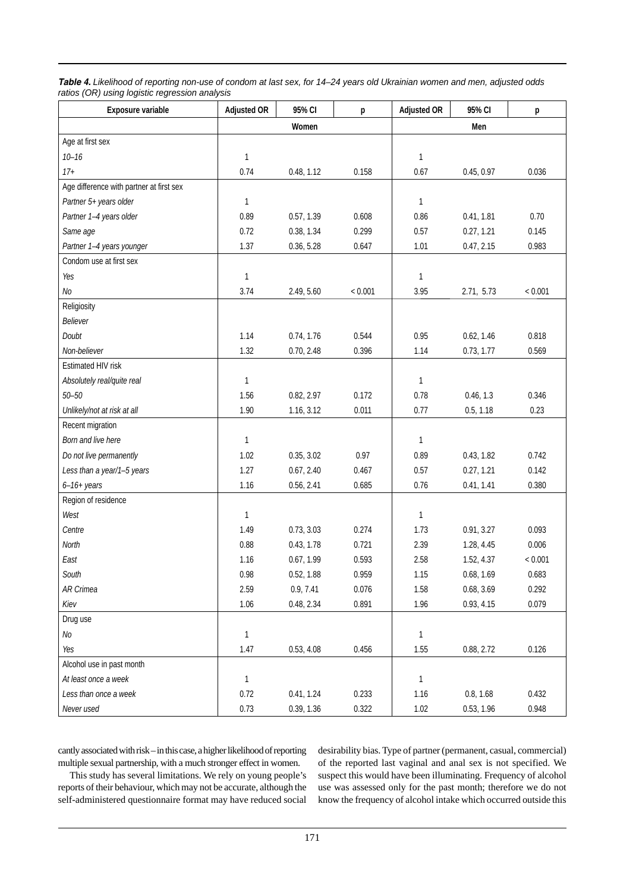| Table 4. Likelihood of reporting non-use of condom at last sex, for 14–24 years old Ukrainian women and men, adjusted odds |  |
|----------------------------------------------------------------------------------------------------------------------------|--|
| ratios (OR) using logistic regression analysis                                                                             |  |

| Exposure variable                        | <b>Adjusted OR</b> | 95% CI     | p       | <b>Adjusted OR</b> | 95% CI     | р       |
|------------------------------------------|--------------------|------------|---------|--------------------|------------|---------|
|                                          |                    | Women      |         | Men                |            |         |
| Age at first sex                         |                    |            |         |                    |            |         |
| $10 - 16$                                | $\mathbf{1}$       |            |         | $\mathbf{1}$       |            |         |
| $17+$                                    | 0.74               | 0.48, 1.12 | 0.158   | 0.67               | 0.45, 0.97 | 0.036   |
| Age difference with partner at first sex |                    |            |         |                    |            |         |
| Partner 5+ years older                   | $\mathbf{1}$       |            |         | 1                  |            |         |
| Partner 1-4 years older                  | 0.89               | 0.57, 1.39 | 0.608   | 0.86               | 0.41, 1.81 | 0.70    |
| Same age                                 | 0.72               | 0.38, 1.34 | 0.299   | 0.57               | 0.27, 1.21 | 0.145   |
| Partner 1-4 years younger                | 1.37               | 0.36, 5.28 | 0.647   | 1.01               | 0.47, 2.15 | 0.983   |
| Condom use at first sex                  |                    |            |         |                    |            |         |
| Yes                                      | $\mathbf{1}$       |            |         | 1                  |            |         |
| No                                       | 3.74               | 2.49, 5.60 | < 0.001 | 3.95               | 2.71, 5.73 | < 0.001 |
| Religiosity                              |                    |            |         |                    |            |         |
| Believer                                 |                    |            |         |                    |            |         |
| Doubt                                    | 1.14               | 0.74, 1.76 | 0.544   | 0.95               | 0.62, 1.46 | 0.818   |
| Non-believer                             | 1.32               | 0.70, 2.48 | 0.396   | 1.14               | 0.73, 1.77 | 0.569   |
| Estimated HIV risk                       |                    |            |         |                    |            |         |
| Absolutely real/quite real               | 1                  |            |         | 1                  |            |         |
| $50 - 50$                                | 1.56               | 0.82, 2.97 | 0.172   | 0.78               | 0.46, 1.3  | 0.346   |
| Unlikely/not at risk at all              | 1.90               | 1.16, 3.12 | 0.011   | 0.77               | 0.5, 1.18  | 0.23    |
| Recent migration                         |                    |            |         |                    |            |         |
| Born and live here                       | 1                  |            |         | 1                  |            |         |
| Do not live permanently                  | 1.02               | 0.35, 3.02 | 0.97    | 0.89               | 0.43, 1.82 | 0.742   |
| Less than a year/1-5 years               | 1.27               | 0.67, 2.40 | 0.467   | 0.57               | 0.27, 1.21 | 0.142   |
| $6-16+ years$                            | 1.16               | 0.56, 2.41 | 0.685   | 0.76               | 0.41, 1.41 | 0.380   |
| Region of residence                      |                    |            |         |                    |            |         |
| West                                     | $\mathbf{1}$       |            |         | 1                  |            |         |
| Centre                                   | 1.49               | 0.73, 3.03 | 0.274   | 1.73               | 0.91, 3.27 | 0.093   |
| North                                    | 0.88               | 0.43, 1.78 | 0.721   | 2.39               | 1.28, 4.45 | 0.006   |
| East                                     | 1.16               | 0.67, 1.99 | 0.593   | 2.58               | 1.52, 4.37 | < 0.001 |
| South                                    | 0.98               | 0.52, 1.88 | 0.959   | 1.15               | 0.68, 1.69 | 0.683   |
| AR Crimea                                | 2.59               | 0.9, 7.41  | 0.076   | 1.58               | 0.68, 3.69 | 0.292   |
| Kiev                                     | 1.06               | 0.48, 2.34 | 0.891   | 1.96               | 0.93, 4.15 | 0.079   |
| Drug use                                 |                    |            |         |                    |            |         |
| $N\!o$                                   | $\mathbf{1}$       |            |         | $\mathbf{1}$       |            |         |
| Yes                                      | 1.47               | 0.53, 4.08 | 0.456   | 1.55               | 0.88, 2.72 | 0.126   |
| Alcohol use in past month                |                    |            |         |                    |            |         |
| At least once a week                     | $\mathbf{1}$       |            |         | $\mathbf{1}$       |            |         |
| Less than once a week                    | 0.72               | 0.41, 1.24 | 0.233   | 1.16               | 0.8, 1.68  | 0.432   |
| Never used                               | 0.73               | 0.39, 1.36 | 0.322   | 1.02               | 0.53, 1.96 | 0.948   |

cantly associated with risk – in this case, a higher likelihood of reporting multiple sexual partnership, with a much stronger effect in women.

desirability bias. Type of partner (permanent, casual, commercial) of the reported last vaginal and anal sex is not specified. We suspect this would have been illuminating. Frequency of alcohol use was assessed only for the past month; therefore we do not know the frequency of alcohol intake which occurred outside this

This study has several limitations. We rely on young people's reports of their behaviour, which may not be accurate, although the self-administered questionnaire format may have reduced social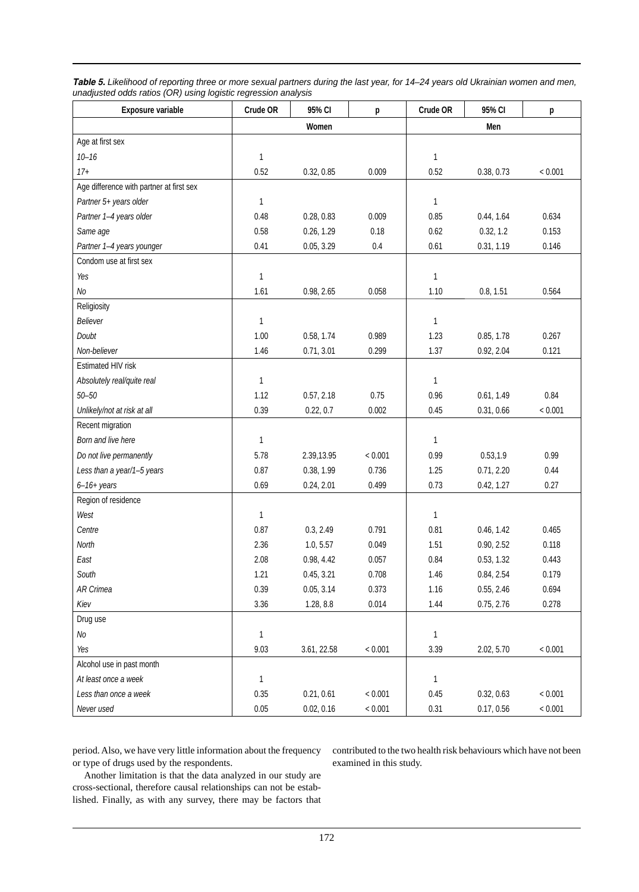| Exposure variable                        | Crude OR     | 95% CI      | p       | Crude OR     | 95% CI     | р       |  |
|------------------------------------------|--------------|-------------|---------|--------------|------------|---------|--|
|                                          |              | Women       |         | Men          |            |         |  |
| Age at first sex                         |              |             |         |              |            |         |  |
| $10 - 16$                                | $\mathbf{1}$ |             |         | 1            |            |         |  |
| $17+$                                    | 0.52         | 0.32, 0.85  | 0.009   | 0.52         | 0.38, 0.73 | < 0.001 |  |
| Age difference with partner at first sex |              |             |         |              |            |         |  |
| Partner 5+ years older                   | $\mathbf{1}$ |             |         | $\mathbf{1}$ |            |         |  |
| Partner 1-4 years older                  | 0.48         | 0.28, 0.83  | 0.009   | 0.85         | 0.44, 1.64 | 0.634   |  |
| Same age                                 | 0.58         | 0.26, 1.29  | 0.18    | 0.62         | 0.32, 1.2  | 0.153   |  |
| Partner 1-4 years younger                | 0.41         | 0.05, 3.29  | 0.4     | 0.61         | 0.31, 1.19 | 0.146   |  |
| Condom use at first sex                  |              |             |         |              |            |         |  |
| Yes                                      | $\mathbf{1}$ |             |         | $\mathbf{1}$ |            |         |  |
| No                                       | 1.61         | 0.98, 2.65  | 0.058   | 1.10         | 0.8, 1.51  | 0.564   |  |
| Religiosity                              |              |             |         |              |            |         |  |
| Believer                                 | $\mathbf{1}$ |             |         | 1            |            |         |  |
| Doubt                                    | 1.00         | 0.58, 1.74  | 0.989   | 1.23         | 0.85, 1.78 | 0.267   |  |
| Non-believer                             | 1.46         | 0.71, 3.01  | 0.299   | 1.37         | 0.92, 2.04 | 0.121   |  |
| Estimated HIV risk                       |              |             |         |              |            |         |  |
| Absolutely real/quite real               | $\mathbf{1}$ |             |         | 1            |            |         |  |
| $50 - 50$                                | 1.12         | 0.57, 2.18  | 0.75    | 0.96         | 0.61, 1.49 | 0.84    |  |
| Unlikely/not at risk at all              | 0.39         | 0.22, 0.7   | 0.002   | 0.45         | 0.31, 0.66 | < 0.001 |  |
| Recent migration                         |              |             |         |              |            |         |  |
| Born and live here                       | $\mathbf{1}$ |             |         | 1            |            |         |  |
| Do not live permanently                  | 5.78         | 2.39,13.95  | < 0.001 | 0.99         | 0.53, 1.9  | 0.99    |  |
| Less than a year/1-5 years               | 0.87         | 0.38, 1.99  | 0.736   | 1.25         | 0.71, 2.20 | 0.44    |  |
| $6-16+ years$                            | 0.69         | 0.24, 2.01  | 0.499   | 0.73         | 0.42, 1.27 | 0.27    |  |
| Region of residence                      |              |             |         |              |            |         |  |
| West                                     | $\mathbf{1}$ |             |         | 1            |            |         |  |
| Centre                                   | 0.87         | 0.3, 2.49   | 0.791   | 0.81         | 0.46, 1.42 | 0.465   |  |
| North                                    | 2.36         | 1.0, 5.57   | 0.049   | 1.51         | 0.90, 2.52 | 0.118   |  |
| East                                     | 2.08         | 0.98, 4.42  | 0.057   | 0.84         | 0.53, 1.32 | 0.443   |  |
| South                                    | 1.21         | 0.45, 3.21  | 0.708   | 1.46         | 0.84, 2.54 | 0.179   |  |
| AR Crimea                                | 0.39         | 0.05, 3.14  | 0.373   | 1.16         | 0.55, 2.46 | 0.694   |  |
| Kiev                                     | 3.36         | 1.28, 8.8   | 0.014   | 1.44         | 0.75, 2.76 | 0.278   |  |
| Drug use                                 |              |             |         |              |            |         |  |
| $N\!o$                                   | $\mathbf{1}$ |             |         | 1            |            |         |  |
| Yes                                      | 9.03         | 3.61, 22.58 | < 0.001 | 3.39         | 2.02, 5.70 | < 0.001 |  |
| Alcohol use in past month                |              |             |         |              |            |         |  |
| At least once a week                     | $\mathbf{1}$ |             |         | 1            |            |         |  |
| Less than once a week                    | 0.35         | 0.21, 0.61  | < 0.001 | 0.45         | 0.32, 0.63 | < 0.001 |  |
| Never used                               | 0.05         | 0.02, 0.16  | < 0.001 | 0.31         | 0.17, 0.56 | < 0.001 |  |

*Table 5. Likelihood of reporting three or more sexual partners during the last year, for 14–24 years old Ukrainian women and men, unadjusted odds ratios (OR) using logistic regression analysis*

period. Also, we have very little information about the frequency or type of drugs used by the respondents.

contributed to the two health risk behaviours which have not been examined in this study.

Another limitation is that the data analyzed in our study are cross-sectional, therefore causal relationships can not be established. Finally, as with any survey, there may be factors that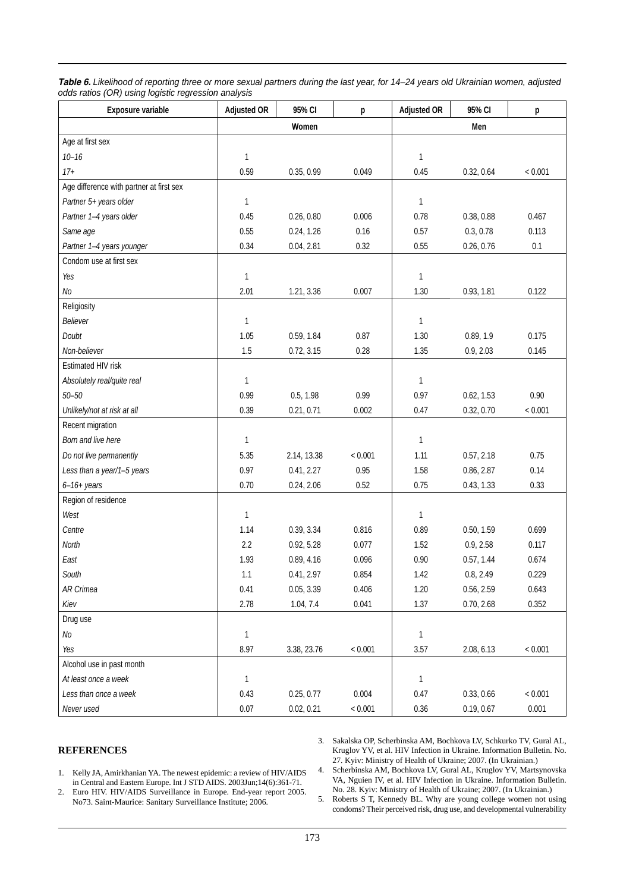| Table 6. Likelihood of reporting three or more sexual partners during the last year, for 14-24 years old Ukrainian women, adjusted |
|------------------------------------------------------------------------------------------------------------------------------------|
| odds ratios (OR) using logistic regression analysis                                                                                |

| Exposure variable                        | <b>Adjusted OR</b> | 95% CI      | p       | <b>Adjusted OR</b> | 95% CI     | p       |  |
|------------------------------------------|--------------------|-------------|---------|--------------------|------------|---------|--|
|                                          |                    | Women       |         | Men                |            |         |  |
| Age at first sex                         |                    |             |         |                    |            |         |  |
| $10 - 16$                                | $\mathbf{1}$       |             |         | 1                  |            |         |  |
| $17+$                                    | 0.59               | 0.35, 0.99  | 0.049   | 0.45               | 0.32, 0.64 | < 0.001 |  |
| Age difference with partner at first sex |                    |             |         |                    |            |         |  |
| Partner 5+ years older                   | $\mathbf{1}$       |             |         | 1                  |            |         |  |
| Partner 1-4 years older                  | 0.45               | 0.26, 0.80  | 0.006   | 0.78               | 0.38, 0.88 | 0.467   |  |
| Same age                                 | 0.55               | 0.24, 1.26  | 0.16    | 0.57               | 0.3, 0.78  | 0.113   |  |
| Partner 1-4 years younger                | 0.34               | 0.04, 2.81  | 0.32    | 0.55               | 0.26, 0.76 | 0.1     |  |
| Condom use at first sex                  |                    |             |         |                    |            |         |  |
| Yes                                      | $\mathbf{1}$       |             |         | 1                  |            |         |  |
| $N\!o$                                   | 2.01               | 1.21, 3.36  | 0.007   | 1.30               | 0.93, 1.81 | 0.122   |  |
| Religiosity                              |                    |             |         |                    |            |         |  |
| Believer                                 | $\mathbf{1}$       |             |         | 1                  |            |         |  |
| Doubt                                    | 1.05               | 0.59, 1.84  | 0.87    | 1.30               | 0.89, 1.9  | 0.175   |  |
| Non-believer                             | 1.5                | 0.72, 3.15  | 0.28    | 1.35               | 0.9, 2.03  | 0.145   |  |
| Estimated HIV risk                       |                    |             |         |                    |            |         |  |
| Absolutely real/quite real               | 1                  |             |         | 1                  |            |         |  |
| $50 - 50$                                | 0.99               | 0.5, 1.98   | 0.99    | 0.97               | 0.62, 1.53 | 0.90    |  |
| Unlikely/not at risk at all              | 0.39               | 0.21, 0.71  | 0.002   | 0.47               | 0.32, 0.70 | < 0.001 |  |
| Recent migration                         |                    |             |         |                    |            |         |  |
| Born and live here                       | $\mathbf{1}$       |             |         | 1                  |            |         |  |
| Do not live permanently                  | 5.35               | 2.14, 13.38 | < 0.001 | 1.11               | 0.57, 2.18 | 0.75    |  |
| Less than a year/1-5 years               | 0.97               | 0.41, 2.27  | 0.95    | 1.58               | 0.86, 2.87 | 0.14    |  |
| $6-16+ years$                            | 0.70               | 0.24, 2.06  | 0.52    | 0.75               | 0.43, 1.33 | 0.33    |  |
| Region of residence                      |                    |             |         |                    |            |         |  |
| West                                     | $\mathbf{1}$       |             |         | 1                  |            |         |  |
| Centre                                   | 1.14               | 0.39, 3.34  | 0.816   | 0.89               | 0.50, 1.59 | 0.699   |  |
| North                                    | 2.2                | 0.92, 5.28  | 0.077   | 1.52               | 0.9, 2.58  | 0.117   |  |
| East                                     | 1.93               | 0.89, 4.16  | 0.096   | 0.90               | 0.57, 1.44 | 0.674   |  |
| South                                    | 1.1                | 0.41, 2.97  | 0.854   | 1.42               | 0.8, 2.49  | 0.229   |  |
| AR Crimea                                | 0.41               | 0.05, 3.39  | 0.406   | 1.20               | 0.56, 2.59 | 0.643   |  |
| Kiev                                     | 2.78               | 1.04, 7.4   | 0.041   | 1.37               | 0.70, 2.68 | 0.352   |  |
| Drug use                                 |                    |             |         |                    |            |         |  |
| No                                       | $\mathbf{1}$       |             |         | 1                  |            |         |  |
| Yes                                      | 8.97               | 3.38, 23.76 | < 0.001 | 3.57               | 2.08, 6.13 | < 0.001 |  |
| Alcohol use in past month                |                    |             |         |                    |            |         |  |
| At least once a week                     | $\mathbf{1}$       |             |         | $\mathbf{1}$       |            |         |  |
| Less than once a week                    | 0.43               | 0.25, 0.77  | 0.004   | 0.47               | 0.33, 0.66 | < 0.001 |  |
| Never used                               | 0.07               | 0.02, 0.21  | < 0.001 | 0.36               | 0.19, 0.67 | 0.001   |  |

# **REFERENCES**

3. Sakalska OP, Scherbinska AM, Bochkova LV, Schkurko TV, Gural AL, Kruglov YV, et al. HIV Infection in Ukraine. Information Bulletin. No. 27. Kyiv: Ministry of Health of Ukraine; 2007. (In Ukrainian.) 4. Scherbinska AM, Bochkova LV, Gural AL, Kruglov YV, Martsynovska

- 1. Kelly JA, Amirkhanian YA. The newest epidemic: a review of HIV/AIDS in Central and Eastern Europe. Int J STD AIDS. 2003Jun;14(6):361-71.
- 2. Euro HIV. HIV/AIDS Surveillance in Europe. End-year report 2005. No73. Saint-Maurice: Sanitary Surveillance Institute; 2006.

VA, Nguien IV, et al. HIV Infection in Ukraine. Information Bulletin. No. 28. Kyiv: Ministry of Health of Ukraine; 2007. (In Ukrainian.) 5. Roberts S T, Kennedy BL. Why are young college women not using

condoms? Their perceived risk, drug use, and developmental vulnerability